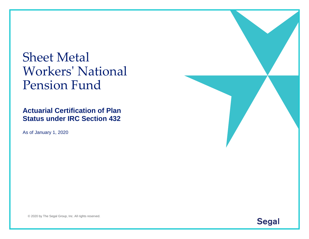# Sheet Metal Workers' National Pension Fund

**Actuarial Certification of Plan Status under IRC Section 432**

As of January 1, 2020



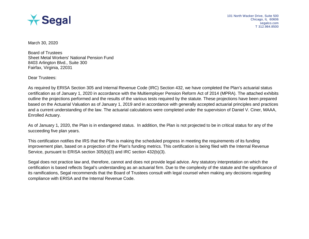

March 30, 2020

Board of Trustees Sheet Metal Workers' National Pension Fund 8403 Arlington Blvd., Suite 300 Fairfax, Virginia, 22031

Dear Trustees:

As required by ERISA Section 305 and Internal Revenue Code (IRC) Section 432, we have completed the Plan's actuarial status certification as of January 1, 2020 in accordance with the Multiemployer Pension Reform Act of 2014 (MPRA). The attached exhibits outline the projections performed and the results of the various tests required by the statute. These projections have been prepared based on the Actuarial Valuation as of January 1, 2019 and in accordance with generally accepted actuarial principles and practices and a current understanding of the law. The actuarial calculations were completed under the supervision of Daniel V. Ciner, MAAA, Enrolled Actuary.

As of January 1, 2020, the Plan is in endangered status. In addition, the Plan is not projected to be in critical status for any of the succeeding five plan years.

This certification notifies the IRS that the Plan is making the scheduled progress in meeting the requirements of its funding improvement plan, based on a projection of the Plan's funding metrics. This certification is being filed with the Internal Revenue Service, pursuant to ERISA section 305(b)(3) and IRC section 432(b)(3).

Segal does not practice law and, therefore, cannot and does not provide legal advice. Any statutory interpretation on which the certification is based reflects Segal's understanding as an actuarial firm. Due to the complexity of the statute and the significance of its ramifications, Segal recommends that the Board of Trustees consult with legal counsel when making any decisions regarding compliance with ERISA and the Internal Revenue Code.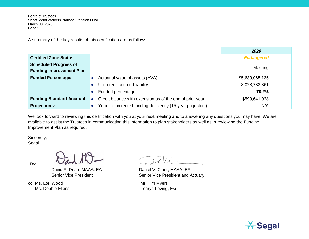Board of Trustees Sheet Metal Workers' National Pension Fund March 30, 2020 Page 2

A summary of the key results of this certification are as follows:

|                                 |                                                                        | 2020              |
|---------------------------------|------------------------------------------------------------------------|-------------------|
| <b>Certified Zone Status</b>    |                                                                        | <b>Endangered</b> |
| <b>Scheduled Progress of</b>    |                                                                        |                   |
| <b>Funding Improvement Plan</b> |                                                                        | Meeting           |
| <b>Funded Percentage:</b>       | Actuarial value of assets (AVA)                                        | \$5,639,065,135   |
|                                 | Unit credit accrued liability                                          | 8,028,733,861     |
|                                 | Funded percentage                                                      | 70.2%             |
| <b>Funding Standard Account</b> | Credit balance with extension as of the end of prior year<br>$\bullet$ | \$599,641,028     |
| <b>Projections:</b>             | Years to projected funding deficiency (15-year projection)             | N/A               |

We look forward to reviewing this certification with you at your next meeting and to answering any questions you may have. We are available to assist the Trustees in communicating this information to plan stakeholders as well as in reviewing the Funding Improvement Plan as required.

Sincerely,

Segal

cc: Ms. Lori Wood **Mr. Tim Myers** 

By:  $\frac{1}{2}$  and  $\frac{1}{2}$  and  $\frac{1}{2}$  and  $\frac{1}{2}$  and  $\frac{1}{2}$  and  $\frac{1}{2}$  and  $\frac{1}{2}$  and  $\frac{1}{2}$  and  $\frac{1}{2}$  and  $\frac{1}{2}$  and  $\frac{1}{2}$  and  $\frac{1}{2}$  and  $\frac{1}{2}$  and  $\frac{1}{2}$  and  $\frac{1}{2}$  and  $\frac{1}{2$ 

David A. Dean, MAAA, EA Daniel V. Ciner, MAAA, EA Senior Vice President Senior Vice President and Actuary

Ms. Debbie Elkins Tearyn Loving, Esq.

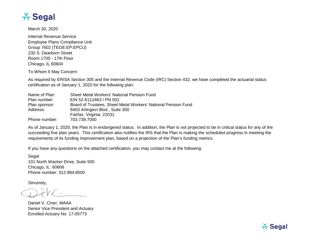

March 30, 2020

Internal Revenue Service Employee Plans Compliance Unit Group 7602 (TEGE:EP:EPCU) 230 S. Dearborn Street Room 1700 - 17th Floor Chicago, IL 60604

To Whom It May Concern:

As required by ERISA Section 305 and the Internal Revenue Code (IRC) Section 432, we have completed the actuarial status certification as of January 1, 2020 for the following plan:

| Name of Plan: | <b>Sheet Metal Workers' National Pension Fund</b>             |
|---------------|---------------------------------------------------------------|
| Plan number:  | EIN 52-6112463 / PN 001                                       |
| Plan sponsor: | Board of Trustees, Sheet Metal Workers' National Pension Fund |
| Address:      | 8403 Arlington Blvd., Suite 300                               |
|               | Fairfax, Virginia, 22031                                      |
| Phone number: | 703.739.7000                                                  |

As of January 1, 2020, the Plan is in endangered status. In addition, the Plan is not projected to be in critical status for any of the succeeding five plan years. This certification also notifies the IRS that the Plan is making the scheduled progress in meeting the requirements of its funding improvement plan, based on a projection of the Plan's funding metrics.

If you have any questions on the attached certification, you may contact me at the following:

Segal 101 North Wacker Drive, Suite 500 Chicago, IL 60606 Phone number: 312.984.8500

Sincerely,

Daniel V. Ciner, MAAA Senior Vice President and Actuary Enrolled Actuary No. 17-05773

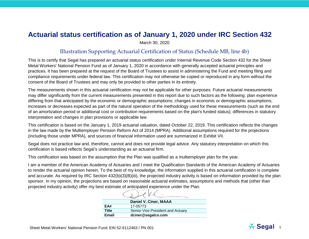### **Actuarial status certification as of January 1, 2020 under IRC Section 432**

March 30, 2020

#### Illustration Supporting Actuarial Certification of Status (Schedule MB, line 4b)

This is to certify that Segal has prepared an actuarial status certification under Internal Revenue Code Section 432 for the Sheet Metal Workers' National Pension Fund as of January 1, 2020 in accordance with generally accepted actuarial principles and practices. It has been prepared at the request of the Board of Trustees to assist in administering the Fund and meeting filing and compliance requirements under federal law. This certification may not otherwise be copied or reproduced in any form without the consent of the Board of Trustees and may only be provided to other parties in its entirety.

The measurements shown in this actuarial certification may not be applicable for other purposes. Future actuarial measurements may differ significantly from the current measurements presented in this report due to such factors as the following: plan experience differing from that anticipated by the economic or demographic assumptions; changes in economic or demographic assumptions; increases or decreases expected as part of the natural operation of the methodology used for these measurements (such as the end of an amortization period or additional cost or contribution requirements based on the plan's funded status); differences in statutory interpretation and changes in plan provisions or applicable law.

This certification is based on the January 1, 2019 actuarial valuation, dated October 22, 2019. This certification reflects the changes in the law made by the Multiemployer Pension Reform Act of 2014 (MPRA). Additional assumptions required for the projections (including those under MPRA), and sources of financial information used are summarized in Exhibit VII.

Segal does not practice law and, therefore, cannot and does not provide legal advice. Any statutory interpretation on which this certification is based reflects Segal's understanding as an actuarial firm.

This certification was based on the assumption that the Plan was qualified as a multiemployer plan for the year.

I am a member of the American Academy of Actuaries and I meet the Qualification Standards of the American Academy of Actuaries to render the actuarial opinion herein. To the best of my knowledge, the information supplied in this actuarial certification is complete and accurate. As required by IRC Section 432(b)(3)(B)(iii), the projected industry activity is based on information provided by the plan sponsor. In my opinion, the projections are based on reasonable actuarial estimates, assumptions and methods that (other than projected industry activity) offer my best estimate of anticipated experience under the Plan.

|       | Daniel V. Ciner, MAAA             |
|-------|-----------------------------------|
| EA#   | 17-05773                          |
| Title | Senior Vice President and Actuary |
| Email | dciner@segalco.com                |

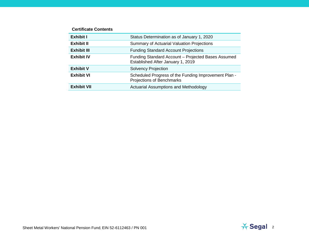#### **Certificate Contents**

| Exhibit I          | Status Determination as of January 1, 2020                                              |
|--------------------|-----------------------------------------------------------------------------------------|
| Exhibit II         | Summary of Actuarial Valuation Projections                                              |
| Exhibit III        | <b>Funding Standard Account Projections</b>                                             |
| <b>Exhibit IV</b>  | Funding Standard Account - Projected Bases Assumed<br>Established After January 1, 2019 |
| <b>Exhibit V</b>   | <b>Solvency Projection</b>                                                              |
| <b>Exhibit VI</b>  | Scheduled Progress of the Funding Improvement Plan -<br>Projections of Benchmarks       |
| <b>Exhibit VII</b> | <b>Actuarial Assumptions and Methodology</b>                                            |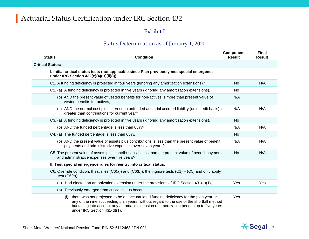### Exhibit I

### Status Determination as of January 1, 2020

| <b>Status</b>           | <b>Condition</b>                                                                                                                                                                                                                                                                                                    | Component<br><b>Result</b> | <b>Final</b><br><b>Result</b> |
|-------------------------|---------------------------------------------------------------------------------------------------------------------------------------------------------------------------------------------------------------------------------------------------------------------------------------------------------------------|----------------------------|-------------------------------|
| <b>Critical Status:</b> |                                                                                                                                                                                                                                                                                                                     |                            |                               |
|                         | I. Initial critical status tests (not applicable since Plan previously met special emergence<br>under IRC Section 432(e)(4)(B)(ii)(I)):                                                                                                                                                                             |                            |                               |
|                         | C1. A funding deficiency is projected in four years (ignoring any amortization extensions)?                                                                                                                                                                                                                         | <b>No</b>                  | N/A                           |
|                         | C2. (a) A funding deficiency is projected in five years (ignoring any amortization extensions),                                                                                                                                                                                                                     | No.                        |                               |
|                         | (b) AND the present value of vested benefits for non-actives is more than present value of<br>vested benefits for actives,                                                                                                                                                                                          | N/A                        |                               |
|                         | (c) AND the normal cost plus interest on unfunded actuarial accrued liability (unit credit basis) is<br>greater than contributions for current year?                                                                                                                                                                | N/A                        | N/A                           |
|                         | C3. (a) A funding deficiency is projected in five years (ignoring any amortization extensions),                                                                                                                                                                                                                     | No                         |                               |
|                         | (b) AND the funded percentage is less than 65%?                                                                                                                                                                                                                                                                     | N/A                        | N/A                           |
|                         | C4. (a) The funded percentage is less than 65%,                                                                                                                                                                                                                                                                     | <b>No</b>                  |                               |
|                         | (b) AND the present value of assets plus contributions is less than the present value of benefit<br>payments and administrative expenses over seven years?                                                                                                                                                          | N/A                        | N/A                           |
|                         | C5. The present value of assets plus contributions is less than the present value of benefit payments<br>and administrative expenses over five years?                                                                                                                                                               | <b>No</b>                  | N/A                           |
|                         | II. Test special emergence rules for reentry into critical status:                                                                                                                                                                                                                                                  |                            |                               |
|                         | C6. Override condition: If satisfies (C6(a)) and (C6(b)), then ignore tests (C1) – (C5) and only apply<br>test $(C6(c))$                                                                                                                                                                                            |                            |                               |
| (a)                     | Had elected an amortization extension under the provisions of IRC Section $431(d)(1)$ ,                                                                                                                                                                                                                             | Yes                        | Yes                           |
| (b)                     | Previously emerged from critical status because:                                                                                                                                                                                                                                                                    |                            |                               |
|                         | there was not projected to be an accumulated funding deficiency for the plan year or<br>(i)<br>any of the nine succeeding plan years, without regard to the use of the shortfall method<br>but taking into account any automatic extension of amortization periods up to five years<br>under IRC Section 431(d)(1), | Yes                        |                               |

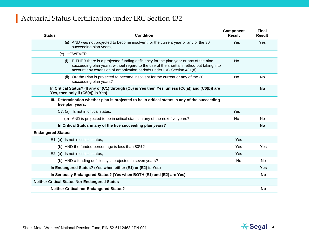| <b>Status</b>             | <b>Condition</b>                                                                                                                                                                                                                                                  | <b>Component</b><br><b>Result</b> | <b>Final</b><br><b>Result</b> |
|---------------------------|-------------------------------------------------------------------------------------------------------------------------------------------------------------------------------------------------------------------------------------------------------------------|-----------------------------------|-------------------------------|
|                           | AND was not projected to become insolvent for the current year or any of the 30<br>(ii)<br>succeeding plan years,                                                                                                                                                 | Yes                               | Yes                           |
|                           | (c) HOWEVER                                                                                                                                                                                                                                                       |                                   |                               |
|                           | EITHER there is a projected funding deficiency for the plan year or any of the nine<br>(i)<br>succeeding plan years, without regard to the use of the shortfall method but taking into<br>account any extension of amortization periods under IRC Section 431(d), | No.                               |                               |
|                           | OR the Plan is projected to become insolvent for the current or any of the 30<br>(ii)<br>succeeding plan years?                                                                                                                                                   | N <sub>o</sub>                    | <b>No</b>                     |
|                           | In Critical Status? (If any of (C1) through (C5) is Yes then Yes, unless (C6(a)) and (C6(b)) are<br>Yes, then only if (C6(c)) is Yes)                                                                                                                             |                                   | <b>No</b>                     |
|                           | III. Determination whether plan is projected to be in critical status in any of the succeeding<br>five plan years:                                                                                                                                                |                                   |                               |
|                           | C7. (a) Is not in critical status,                                                                                                                                                                                                                                | Yes                               |                               |
|                           | (b) AND is projected to be in critical status in any of the next five years?                                                                                                                                                                                      | No.                               | <b>No</b>                     |
|                           | In Critical Status in any of the five succeeding plan years?                                                                                                                                                                                                      |                                   | <b>No</b>                     |
| <b>Endangered Status:</b> |                                                                                                                                                                                                                                                                   |                                   |                               |
|                           | E1. (a) Is not in critical status,                                                                                                                                                                                                                                | Yes                               |                               |
|                           | (b) AND the funded percentage is less than 80%?                                                                                                                                                                                                                   | <b>Yes</b>                        | Yes                           |
|                           | E2. (a) Is not in critical status,                                                                                                                                                                                                                                | <b>Yes</b>                        |                               |
|                           | (b) AND a funding deficiency is projected in seven years?                                                                                                                                                                                                         | No                                | <b>No</b>                     |
|                           | In Endangered Status? (Yes when either (E1) or (E2) is Yes)                                                                                                                                                                                                       |                                   | Yes                           |
|                           | In Seriously Endangered Status? (Yes when BOTH (E1) and (E2) are Yes)                                                                                                                                                                                             |                                   | <b>No</b>                     |
|                           | <b>Neither Critical Status Nor Endangered Status</b>                                                                                                                                                                                                              |                                   |                               |
|                           | <b>Neither Critical nor Endangered Status?</b>                                                                                                                                                                                                                    |                                   | <b>No</b>                     |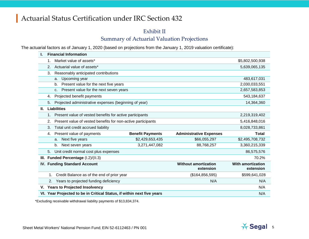#### Exhibit II

### Summary of Actuarial Valuation Projections

The actuarial factors as of January 1, 2020 (based on projections from the January 1, 2019 valuation certificate):

|    |                                                                               | <b>Financial Information</b>                                 |                         |                                |                 |  |  |  |
|----|-------------------------------------------------------------------------------|--------------------------------------------------------------|-------------------------|--------------------------------|-----------------|--|--|--|
|    | 1.                                                                            | Market value of assets*                                      |                         |                                | \$5,802,500,938 |  |  |  |
|    | 2.                                                                            | Actuarial value of assets*                                   |                         |                                | 5,639,065,135   |  |  |  |
|    | 3.                                                                            | Reasonably anticipated contributions                         |                         |                                |                 |  |  |  |
|    |                                                                               | Upcoming year<br>a.                                          |                         |                                | 483,617,031     |  |  |  |
|    |                                                                               | Present value for the next five years<br>b.                  |                         |                                | 2,030,033,551   |  |  |  |
|    |                                                                               | Present value for the next seven years<br>C <sub>1</sub>     |                         |                                | 2,657,583,853   |  |  |  |
|    | 4.                                                                            | Projected benefit payments                                   |                         |                                | 543,184,637     |  |  |  |
|    | 5.                                                                            | Projected administrative expenses (beginning of year)        |                         |                                | 14,364,360      |  |  |  |
| Ш. |                                                                               | <b>Liabilities</b>                                           |                         |                                |                 |  |  |  |
|    | 1 <sub>1</sub>                                                                | Present value of vested benefits for active participants     |                         |                                | 2,219,319,402   |  |  |  |
|    | 2.                                                                            | Present value of vested benefits for non-active participants | 5,416,848,016           |                                |                 |  |  |  |
|    | 3.                                                                            | Total unit credit accrued liability                          |                         |                                | 8,028,733,861   |  |  |  |
|    | 4.                                                                            | Present value of payments                                    | <b>Benefit Payments</b> | <b>Administrative Expenses</b> | <b>Total</b>    |  |  |  |
|    |                                                                               | Next five years<br>a.                                        | \$2,429,653,435         | \$66,055,297                   | \$2,495,708,732 |  |  |  |
|    |                                                                               | b.<br>Next seven years                                       | 3,271,447,082           | 88,768,257                     | 3,360,215,339   |  |  |  |
|    | 5.                                                                            | Unit credit normal cost plus expenses                        |                         |                                | 86,575,576      |  |  |  |
|    |                                                                               | III. Funded Percentage (I.2)/(II.3)                          |                         |                                | 70.2%           |  |  |  |
|    | <b>IV. Funding Standard Account</b>                                           | <b>With amortization</b><br>extension                        |                         |                                |                 |  |  |  |
|    | $1_{-}$                                                                       | Credit Balance as of the end of prior year                   |                         | (\$164, 856, 595)              | \$599,641,028   |  |  |  |
|    | 2.                                                                            | Years to projected funding deficiency                        |                         | N/A                            | N/A             |  |  |  |
| V. |                                                                               | <b>Years to Projected Insolvency</b>                         |                         |                                | N/A             |  |  |  |
|    | VI. Year Projected to be in Critical Status, if within next five years<br>N/A |                                                              |                         |                                |                 |  |  |  |

\*Excluding receivable withdrawal liability payments of \$13,834,374.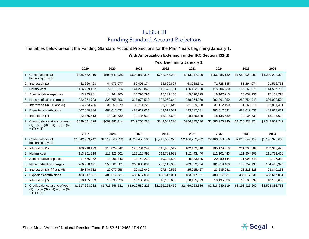### Exhibit III Funding Standard Account Projections

The tables below present the Funding Standard Account Projections for the Plan Years beginning January 1.

#### **With Amortization Extension under IRC Section 431(d)**

|                                                                                        | Year Beginning January 1, |                 |                 |                 |                 |                 |                 |                 |
|----------------------------------------------------------------------------------------|---------------------------|-----------------|-----------------|-----------------|-----------------|-----------------|-----------------|-----------------|
|                                                                                        | 2019                      | 2020            | 2021            | 2022            | 2023            | 2024            | 2025            | 2026            |
| 1. Credit balance at<br>beginning of year                                              | \$435,552,310             | \$599,641,028   | \$699,882,314   | \$742,265,288   | \$843,047,220   | \$956,385,130   | \$1,083,920,990 | \$1,220,223,374 |
| 2. Interest on (1)                                                                     | 32,666,423                | 44,973,077      | 52,491,174      | 55,669,897      | 63,228,541      | 71,728,885      | 81,294,074      | 91,516,753      |
| 3. Normal cost                                                                         | 126,729,102               | 72,211,216      | 144,275,843     | 116,573,191     | 116,162,900     | 115,804,630     | 115,169,870     | 114,597,752     |
| 4. Administrative expenses                                                             | 13,945,981                | 14,364,360      | 14,795,291      | 15,239,150      | 15,696,325      | 16, 167, 215    | 16,652,231      | 17,151,798      |
| 5. Net amortization charges                                                            | 322,974,733               | 328,758,806     | 317,078,512     | 292,969,644     | 288,274,079     | 282,861,359     | 283,754,048     | 306,002,594     |
| 6. Interest on (3), (4) and (5)                                                        | 34,773,736                | 31,150,079      | 35,711,223      | 31,858,649      | 31,509,998      | 31,112,490      | 31,168,211      | 32,831,411      |
| 7. Expected contributions                                                              | 607,080,334               | 483,617,031     | 483,617,031     | 483,617,031     | 483,617,031     | 483,617,031     | 483,617,031     | 483,617,031     |
| 8. Interest on (7)                                                                     | 22,765,513                | 18,135,639      | 18,135,639      | 18,135,639      | 18,135,639      | 18,135,639      | 18,135,639      | 18,135,639      |
| 9. Credit balance at end of year:<br>$(1) + (2) - (3) - (4) - (5) - (6)$<br>$+(7)+(8)$ | \$599,641,028             | \$699,882,314   | \$742,265,288   | \$843,047,220   | \$956,385,130   | \$1,083,920,990 | \$1,220,223,374 | \$1,342,909,242 |
|                                                                                        | 2027                      | 2028            | 2029            | 2030            | 2031            | 2032            | 2033            | 2034            |
| 1. Credit balance at<br>beginning of year                                              | \$1,342,909,242           | \$1,517,663,232 | \$1,716,456,581 | \$1,919,580,225 | \$2,166,253,462 | \$2,469,053,586 | \$2,818,649,119 | \$3,198,925,600 |
| 2. Interest on (1)                                                                     | 100,718,193               | 113,824,742     | 128,734,244     | 143,968,517     | 162,469,010     | 185,179,019     | 211,398,684     | 239,919,420     |
| 3. Normal cost                                                                         | 113,951,318               | 113,328,061     | 113,118,993     | 112,782,939     | 112,443,440     | 112,101,443     | 111,804,307     | 111,722,466     |
| 4. Administrative expenses                                                             | 17,666,352                | 18,196,343      | 18,742,233      | 19,304,500      | 19,883,635      | 20,480,144      | 21,094,548      | 21,727,384      |
| 5. Net amortization charges                                                            | 266,258,491               | 256,181,701     | 265,686,001     | 239,119,956     | 203,879,024     | 181,219,488     | 176,752,190     | 184,418,928     |
| 6. Interest on (3), (4) and (5)                                                        | 29,840,712                | 29,077,958      | 29,816,042      | 27,840,555      | 25,215,457      | 23,535,081      | 23,223,828      | 23,840,158      |
| 7. Expected contributions                                                              | 483,617,031               | 483,617,031     | 483,617,031     | 483,617,031     | 483,617,031     | 483,617,031     | 483,617,031     | 483,617,031     |
| 8. Interest on (7)                                                                     | 18,135,639                | 18,135,639      | 18,135,639      | 18,135,639      | 18,135,639      | 18,135,639      | 18,135,639      | 18,135,639      |
| 9. Credit balance at end of year:<br>$(1) + (2) - (3) - (4) - (5) - (6)$<br>$+(7)+(8)$ | \$1,517,663,232           | \$1,716,456,581 | \$1,919,580,225 | \$2,166,253,462 | \$2,469,053,586 | \$2,818,649,119 | \$3,198,925,600 | \$3,598,888,753 |

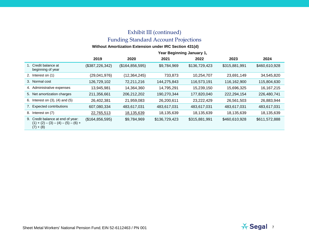### Exhibit III (continued) Funding Standard Account Projections

#### **Without Amortization Extension under IRC Section 431(d)**

|                                                                                           | Year Beginning January 1, |                   |               |               |               |               |
|-------------------------------------------------------------------------------------------|---------------------------|-------------------|---------------|---------------|---------------|---------------|
|                                                                                           | 2019                      | 2020              | 2021          | 2022          | 2023          | 2024          |
| 1. Credit balance at<br>beginning of year                                                 | (\$387,226,342)           | (\$164, 856, 595) | \$9,784,969   | \$136,729,423 | \$315,881,991 | \$460,610,928 |
| 2. Interest on (1)                                                                        | (29,041,976)              | (12, 364, 245)    | 733,873       | 10,254,707    | 23,691,149    | 34,545,820    |
| 3. Normal cost                                                                            | 126,729,102               | 72,211,216        | 144,275,843   | 116,573,191   | 116,162,900   | 115,804,630   |
| 4. Administrative expenses                                                                | 13,945,981                | 14,364,360        | 14,795,291    | 15,239,150    | 15,696,325    | 16, 167, 215  |
| 5. Net amortization charges                                                               | 211,356,661               | 206,212,202       | 190,270,344   | 177,820,040   | 222,294,154   | 226,480,741   |
| 6. Interest on $(3)$ , $(4)$ and $(5)$                                                    | 26,402,381                | 21,959,083        | 26,200,611    | 23,222,429    | 26,561,503    | 26,883,944    |
| 7. Expected contributions                                                                 | 607,080,334               | 483,617,031       | 483,617,031   | 483,617,031   | 483,617,031   | 483,617,031   |
| 8.<br>Interest on (7)                                                                     | 22,765,513                | 18,135,639        | 18,135,639    | 18,135,639    | 18,135,639    | 18,135,639    |
| 9. Credit balance at end of year:<br>$(1) + (2) - (3) - (4) - (5) - (6) +$<br>$(7) + (8)$ | (\$164, 856, 595)         | \$9,784,969       | \$136,729,423 | \$315,881,991 | \$460,610,928 | \$611,572,888 |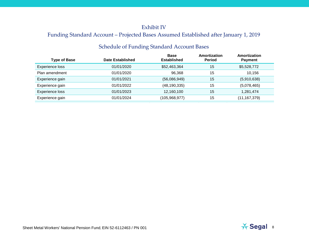### Exhibit IV

### Funding Standard Account – Projected Bases Assumed Established after January 1, 2019

| <b>Schedule of Funding Standard Account Bases</b> |
|---------------------------------------------------|
|---------------------------------------------------|

| <b>Date Established</b> | <b>Base</b><br><b>Established</b> | Amortization<br><b>Period</b> | <b>Amortization</b><br><b>Payment</b> |  |
|-------------------------|-----------------------------------|-------------------------------|---------------------------------------|--|
| 01/01/2020              | \$52,463,364                      | 15                            | \$5,528,772                           |  |
| 01/01/2020              | 96.368                            | 15                            | 10,156                                |  |
| 01/01/2021              | (56,086,949)                      | 15                            | (5,910,638)                           |  |
| 01/01/2022              | (48, 190, 335)                    | 15                            | (5,078,465)                           |  |
| 01/01/2023              | 12,160,100                        | 15                            | 1,281,474                             |  |
| 01/01/2024              | (105,968,977)                     | 15                            | (11, 167, 379)                        |  |
|                         |                                   |                               |                                       |  |

0 0 0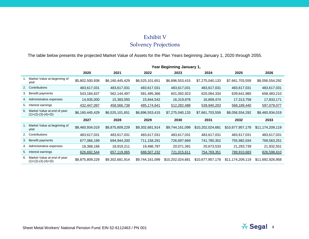### Exhibit V Solvency Projections

The table below presents the projected Market Value of Assets for the Plan Years beginning January 1, 2020 through 2055.

|    |                                                       | Year Beginning January 1, |                 |                 |                  |                  |                  |                  |
|----|-------------------------------------------------------|---------------------------|-----------------|-----------------|------------------|------------------|------------------|------------------|
|    |                                                       | 2020                      | 2021            | 2022            | 2023             | 2024             | 2025             | 2026             |
|    | Market Value at beginning of<br>year                  | \$5,802,500,938           | \$6,160,445,429 | \$6,525,101,651 | \$6,896,553,415  | \$7,275,040,133  | \$7,661,703,559  | \$8,056,554,292  |
|    | 2. Contributions                                      | 483,617,031               | 483,617,031     | 483,617,031     | 483,617,031      | 483,617,031      | 483,617,031      | 483,617,031      |
|    | 3. Benefit payments                                   | 543,184,637               | 562,144,497     | 581,495,366     | 601,092,923      | 620,084,334      | 639,641,980      | 658,483,210      |
|    | 4. Administrative expenses                            | 14,935,000                | 15,383,050      | 15,844,542      | 16,319,878       | 16,809,474       | 17,313,758       | 17,833,171       |
| 5. | Interest earnings                                     | 432,447,097               | 458,566,738     | 485,174,641     | 512,282,488      | 539,940,203      | 568,189,440      | 597,079,077      |
| 6. | Market Value at end of year:<br>$(1)+(2)-(3)-(4)+(5)$ | \$6,160,445,429           | \$6,525,101,651 | \$6,896,553,415 | \$7,275,040,133  | \$7,661,703,559  | \$8,056,554,292  | \$8,460,934,019  |
|    |                                                       | 2027                      | 2028            | 2029            | 2030             | 2031             | 2032             | 2033             |
|    | Market Value at beginning of<br>year                  | \$8,460,934,019           | \$8,875,809,229 | \$9,302,681,914 | \$9,744,161,099  | \$10,202,024,681 | \$10,677,957,178 | \$11,174,209,119 |
|    | 2. Contributions                                      | 483,617,031               | 483,617,031     | 483,617,031     | 483,617,031      | 483,617,031      | 483,617,031      | 483,617,031      |
| 3. | Benefit payments                                      | 677,066,199               | 694,944,200     | 711,158,291     | 726,697,669      | 741,780,352      | 755,982,034      | 769,563,251      |
|    | 4. Administrative expenses                            | 18,368,166                | 18,919,211      | 19,486,787      | 20,071,391       | 20,673,533       | 21,293,739       | 21,932,551       |
| 5. | Interest earnings                                     | 626,692,544               | 657,119,065     | 688,507,232     | 721,015,611      | 754,769,351      | 789,910,683      | 826,598,610      |
| 6. | Market Value at end of year:<br>$(1)+(2)-(3)-(4)+(5)$ | \$8,875,809,229           | \$9,302,681,914 | \$9,744,161,099 | \$10,202,024,681 | \$10,677,957,178 | \$11,174,209,119 | \$11,692,928,958 |

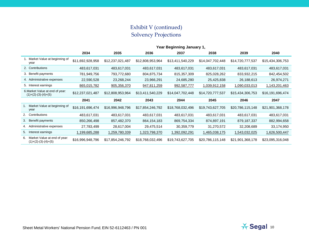### Exhibit V (continued) Solvency Projections

|    |                                                          | Year Beginning January 1, |                  |                  |                  |                  |                  |                  |
|----|----------------------------------------------------------|---------------------------|------------------|------------------|------------------|------------------|------------------|------------------|
|    |                                                          | 2034                      | 2035             | 2036             | 2037             | 2038             | 2039             | 2040             |
|    | 1. Market Value at beginning of<br>year                  | \$11,692,928,958          | \$12,237,021,487 | \$12,808,953,964 | \$13,411,540,229 | \$14,047,702,448 | \$14,720,777,537 | \$15,434,306,753 |
|    | 2. Contributions                                         | 483,617,031               | 483,617,031      | 483,617,031      | 483,617,031      | 483,617,031      | 483,617,031      | 483,617,031      |
|    | 3. Benefit payments                                      | 781,949,756               | 793,772,680      | 804,875,734      | 815, 357, 309    | 825,028,262      | 833,932,215      | 842,454,502      |
|    | 4. Administrative expenses                               | 22,590,528                | 23,268,244       | 23,966,291       | 24,685,280       | 25,425,838       | 26,188,613       | 26,974,271       |
|    | 5. Interest earnings                                     | 865,015,782               | 905,356,370      | 947,811,259      | 992,587,777      | 1,039,912,158    | 1,090,033,013    | 1,143,201,463    |
|    | 6. Market Value at end of year:<br>$(1)+(2)-(3)-(4)+(5)$ | \$12,237,021,487          | \$12,808,953,964 | \$13,411,540,229 | \$14,047,702,448 | \$14,720,777,537 | \$15,434,306,753 | \$16,191,696,474 |
|    |                                                          | 2041                      | 2042             | 2043             | 2044             | 2045             | 2046             | 2047             |
|    | Market Value at beginning of<br>year                     | \$16,191,696,474          | \$16,996,948,796 | \$17,854,246,792 | \$18,768,032,496 | \$19,743,627,705 | \$20,786,115,148 | \$21,901,368,178 |
|    | 2. Contributions                                         | 483,617,031               | 483,617,031      | 483,617,031      | 483,617,031      | 483,617,031      | 483,617,031      | 483,617,031      |
| 3. | Benefit payments                                         | 850,266,498               | 857,482,370      | 864, 154, 183    | 869,754,334      | 874,897,191      | 879,187,337      | 882,994,658      |
|    | 4. Administrative expenses                               | 27,783,499                | 28,617,004       | 29,475,514       | 30,359,779       | 31,270,572       | 32,208,689       | 33,174,950       |
| 5. | terest earnings                                          | 1,199,685,288             | 1,259,780,339    | 1,323,798,370    | 1,392,092,291    | 1,465,038,175    | 1,543,032,025    | 1,626,500,447    |
| 6. | Market Value at end of year:<br>$(1)+(2)-(3)-(4)+(5)$    | \$16,996,948,796          | \$17,854,246,792 | \$18,768,032,496 | \$19,743,627,705 | \$20,786,115,148 | \$21,901,368,178 | \$23,095,316,048 |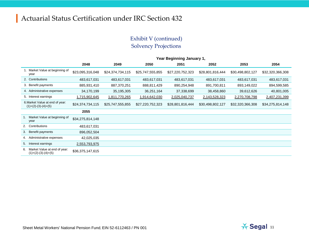### Exhibit V (continued) Solvency Projections

|    |                                                          | Year Beginning January 1, |                  |                  |                  |                  |                  |                  |
|----|----------------------------------------------------------|---------------------------|------------------|------------------|------------------|------------------|------------------|------------------|
|    |                                                          | 2048                      | 2049             | 2050             | 2051             | 2052             | 2053             | 2054             |
|    | Market Value at beginning of<br>year                     | \$23,095,316,048          | \$24,374,734,115 | \$25,747,555,855 | \$27,220,752,323 | \$28,801,816,444 | \$30,498,802,127 | \$32,320,366,308 |
|    | 2. Contributions                                         | 483,617,031               | 483,617,031      | 483,617,031      | 483,617,031      | 483,617,031      | 483,617,031      | 483,617,031      |
|    | 3. Benefit payments                                      | 885,931,410               | 887,370,251      | 888,811,429      | 890,254,948      | 891,700,811      | 893,149,022      | 894,599,585      |
|    | 4. Administrative expenses                               | 34,170,199                | 35, 195, 305     | 36,251,164       | 37,338,699       | 38,458,860       | 39,612,626       | 40,801,005       |
|    | 5. Interest earnings                                     | 1,715,902,645             | 1,811,770,265    | 1,914,642,030    | 2,025,040,737    | 2,143,528,323    | 2,270,708,798    | 2,407,231,399    |
|    | 6. Market Value at end of year:<br>$(1)+(2)-(3)-(4)+(5)$ | \$24,374,734,115          | \$25,747,555,855 | \$27,220,752,323 | \$28,801,816,444 | \$30,498,802,127 | \$32,320,366,308 | \$34,275,814,148 |
|    |                                                          | 2055                      |                  |                  |                  |                  |                  |                  |
|    | Market Value at beginning of<br>year                     | \$34,275,814,148          |                  |                  |                  |                  |                  |                  |
|    | 2. Contributions                                         | 483,617,031               |                  |                  |                  |                  |                  |                  |
| 3. | Benefit payments                                         | 896,052,504               |                  |                  |                  |                  |                  |                  |
|    | 4. Administrative expenses                               | 42,025,035                |                  |                  |                  |                  |                  |                  |
| 5. | Interest earnings                                        | 2,553,793,975             |                  |                  |                  |                  |                  |                  |
| 6. | Market Value at end of year:<br>$(1)+(2)-(3)-(4)+(5)$    | \$36,375,147,615          |                  |                  |                  |                  |                  |                  |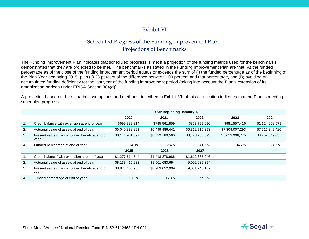### Exhibit VI

### Scheduled Progress of the Funding Improvement Plan - Projections of Benchmarks

The Funding Improvement Plan indicates that scheduled progress is met if a projection of the funding metrics used for the benchmarks demonstrates that they are projected to be met. The benchmarks as stated in the Funding Improvement Plan are that (A) the funded percentage as of the close of the funding improvement period equals or exceeds the sum of (i) the funded percentage as of the beginning of the Plan Year beginning 2015, plus (ii) 33 percent of the difference between 100 percent and that percentage, and (B) avoiding an accumulated funding deficiency for the last year of the funding improvement period (taking into account the Plan's extension of its amortization periods under ERISA Section 304(d)).

A projection based on the actuarial assumptions and methods described in Exhibit VII of this certification indicates that the Plan is meeting scheduled progress.

|                                                        | Year Beginning January 1, |                 |                 |                 |                 |
|--------------------------------------------------------|---------------------------|-----------------|-----------------|-----------------|-----------------|
|                                                        | 2020                      | 2021            | 2022            | 2023            | 2024            |
| Credit balance with extension at end of year           | \$699,882,314             | \$745,561,859   | \$853,799,616   | \$981,557,416   | \$1,124,608,571 |
| Actuarial value of assets at end of year               | \$6,040,838,891           | \$6,449,486,441 | \$6,812,715,293 | \$7,309,007,293 | \$7,716,342,420 |
| Present value of accumulated benefit at end of<br>year | \$8,144,961,897           | \$8,329,180,566 | \$8,478,283,593 | \$8,619,906,775 | \$8,752,049,055 |
| Funded percentage at end of year                       | 74.1%                     | 77.4%           | 80.3%           | 84.7%           | 88.1%           |
|                                                        | 2025                      | 2026            | 2027            |                 |                 |
| Credit balance/ with extension at end of year          | \$1,277,614,544           | \$1,418,278,986 | \$1,612,385,046 |                 |                 |
| Actuarial value of assets at end of year               | \$8,133,415,232           | \$8,561,683,694 | 9,002,239,294   |                 |                 |
| Present value of accumulated benefit at end of<br>year | \$8,873,103,933           | \$8,983,052,909 | 9,081,248,187   |                 |                 |
| Funded percentage at end of year                       | 91.6%                     | 95.3%           | 99.1%           |                 |                 |
|                                                        |                           |                 |                 |                 |                 |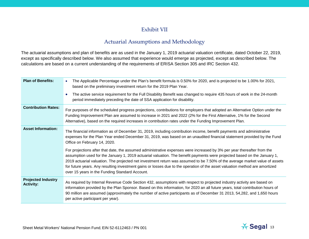### Exhibit VII

### Actuarial Assumptions and Methodology

The actuarial assumptions and plan of benefits are as used in the January 1, 2019 actuarial valuation certificate, dated October 22, 2019, except as specifically described below. We also assumed that experience would emerge as projected, except as described below. The calculations are based on a current understanding of the requirements of ERISA Section 305 and IRC Section 432.

| <b>Plan of Benefits:</b>                      | The Applicable Percentage under the Plan's benefit formula is 0.50% for 2020, and is projected to be 1.00% for 2021,<br>based on the preliminary investment return for the 2019 Plan Year.<br>The active service requirement for the Full Disability Benefit was changed to require 435 hours of work in the 24-month<br>period immediately preceding the date of SSA application for disability.                                                                                                                                                                  |
|-----------------------------------------------|--------------------------------------------------------------------------------------------------------------------------------------------------------------------------------------------------------------------------------------------------------------------------------------------------------------------------------------------------------------------------------------------------------------------------------------------------------------------------------------------------------------------------------------------------------------------|
| <b>Contribution Rates:</b>                    | For purposes of the scheduled progress projections, contributions for employers that adopted an Alternative Option under the<br>Funding Improvement Plan are assumed to increase in 2021 and 2022 (2% for the First Alternative, 1% for the Second<br>Alternative), based on the required increases in contribution rates under the Funding Improvement Plan.                                                                                                                                                                                                      |
| <b>Asset Information:</b>                     | The financial information as of December 31, 2019, including contribution income, benefit payments and administrative<br>expenses for the Plan Year ended December 31, 2019, was based on an unaudited financial statement provided by the Fund<br>Office on February 14, 2020.                                                                                                                                                                                                                                                                                    |
|                                               | For projections after that date, the assumed administrative expenses were increased by 3% per year thereafter from the<br>assumption used for the January 1, 2019 actuarial valuation. The benefit payments were projected based on the January 1,<br>2019 actuarial valuation. The projected net investment return was assumed to be 7.50% of the average market value of assets<br>for future years. Any resulting investment gains or losses due to the operation of the asset valuation method are amortized<br>over 15 years in the Funding Standard Account. |
| <b>Projected Industry</b><br><b>Activity:</b> | As required by Internal Revenue Code Section 432, assumptions with respect to projected industry activity are based on<br>information provided by the Plan Sponsor. Based on this information, for 2020 an all future years, total contribution hours of<br>90 million are assumed (approximately the number of active participants as of December 31 2013, 54,282, and 1,650 hours<br>per active participant per year).                                                                                                                                           |